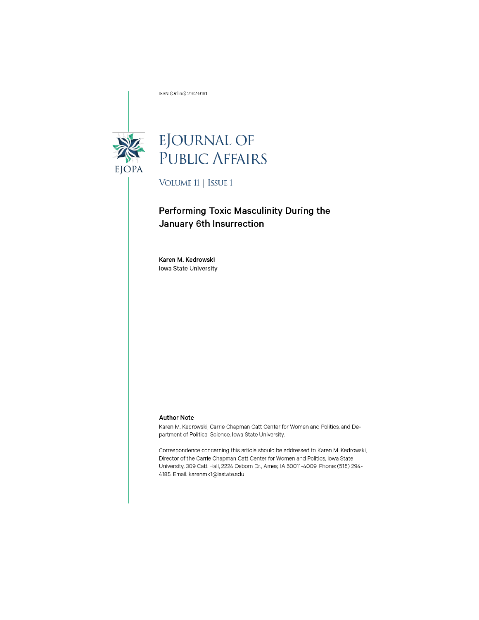ISSN (Online) 2162-9161



# EJOURNAL OF<br>PUBLIC AFFAIRS

VOLUME 11 | ISSUE 1

# Performing Toxic Masculinity During the January 6th Insurrection

Karen M. Kedrowski Iowa State University

#### **Author Note**

Karen M. Kedrowski, Carrie Chapman Catt Center for Women and Politics, and Department of Political Science, Iowa State University.

Correspondence concerning this article should be addressed to Karen M. Kedrowski, Director of the Carrie Chapman Catt Center for Women and Politics, Iowa State University, 309 Catt Hall, 2224 Osborn Dr., Ames, IA 50011-4009. Phone: (515) 294-4185. Email: karenmk1@iastate.edu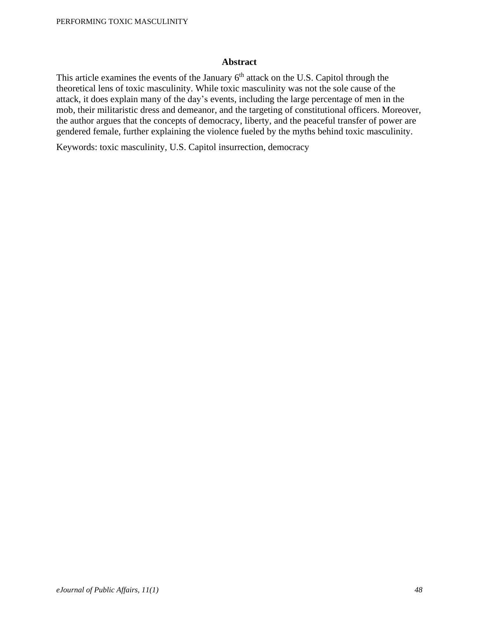# **Abstract**

This article examines the events of the January  $6<sup>th</sup>$  attack on the U.S. Capitol through the theoretical lens of toxic masculinity. While toxic masculinity was not the sole cause of the attack, it does explain many of the day's events, including the large percentage of men in the mob, their militaristic dress and demeanor, and the targeting of constitutional officers. Moreover, the author argues that the concepts of democracy, liberty, and the peaceful transfer of power are gendered female, further explaining the violence fueled by the myths behind toxic masculinity.

Keywords: toxic masculinity, U.S. Capitol insurrection, democracy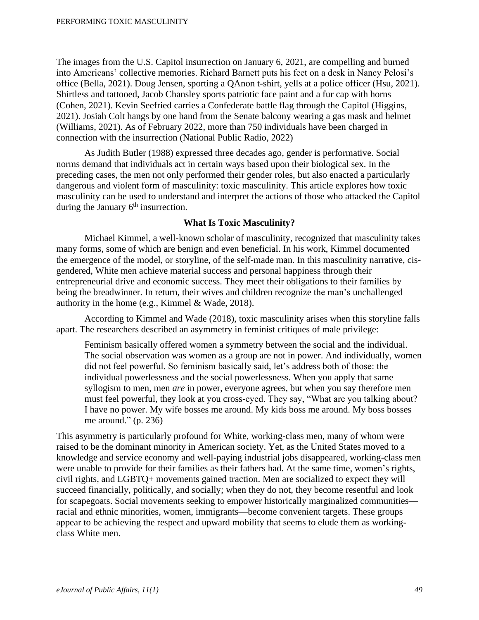The images from the U.S. Capitol insurrection on January 6, 2021, are compelling and burned into Americans' collective memories. Richard Barnett puts his feet on a desk in Nancy Pelosi's office (Bella, 2021). Doug Jensen, sporting a QAnon t-shirt, yells at a police officer (Hsu, 2021). Shirtless and tattooed, Jacob Chansley sports patriotic face paint and a fur cap with horns (Cohen, 2021). Kevin Seefried carries a Confederate battle flag through the Capitol (Higgins, 2021). Josiah Colt hangs by one hand from the Senate balcony wearing a gas mask and helmet (Williams, 2021). As of February 2022, more than 750 individuals have been charged in connection with the insurrection (National Public Radio, 2022)

As Judith Butler (1988) expressed three decades ago, gender is performative. Social norms demand that individuals act in certain ways based upon their biological sex. In the preceding cases, the men not only performed their gender roles, but also enacted a particularly dangerous and violent form of masculinity: toxic masculinity. This article explores how toxic masculinity can be used to understand and interpret the actions of those who attacked the Capitol during the January  $6<sup>th</sup>$  insurrection.

## **What Is Toxic Masculinity?**

Michael Kimmel, a well-known scholar of masculinity, recognized that masculinity takes many forms, some of which are benign and even beneficial. In his work, Kimmel documented the emergence of the model, or storyline, of the self-made man. In this masculinity narrative, cisgendered, White men achieve material success and personal happiness through their entrepreneurial drive and economic success. They meet their obligations to their families by being the breadwinner. In return, their wives and children recognize the man's unchallenged authority in the home (e.g., Kimmel & Wade, 2018).

According to Kimmel and Wade (2018), toxic masculinity arises when this storyline falls apart. The researchers described an asymmetry in feminist critiques of male privilege:

Feminism basically offered women a symmetry between the social and the individual. The social observation was women as a group are not in power. And individually, women did not feel powerful. So feminism basically said, let's address both of those: the individual powerlessness and the social powerlessness. When you apply that same syllogism to men, men *are* in power, everyone agrees, but when you say therefore men must feel powerful, they look at you cross-eyed. They say, "What are you talking about? I have no power. My wife bosses me around. My kids boss me around. My boss bosses me around." (p. 236)

This asymmetry is particularly profound for White, working-class men, many of whom were raised to be the dominant minority in American society. Yet, as the United States moved to a knowledge and service economy and well-paying industrial jobs disappeared, working-class men were unable to provide for their families as their fathers had. At the same time, women's rights, civil rights, and LGBTQ+ movements gained traction. Men are socialized to expect they will succeed financially, politically, and socially; when they do not, they become resentful and look for scapegoats. Social movements seeking to empower historically marginalized communities racial and ethnic minorities, women, immigrants—become convenient targets. These groups appear to be achieving the respect and upward mobility that seems to elude them as workingclass White men.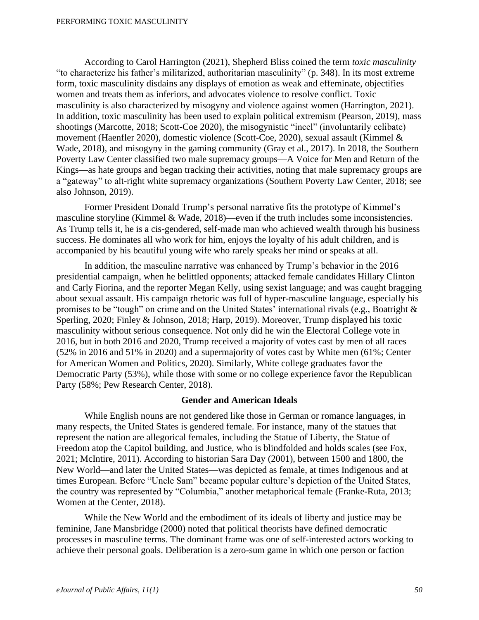According to Carol Harrington (2021), Shepherd Bliss coined the term *toxic masculinity* "to characterize his father's militarized, authoritarian masculinity" (p. 348). In its most extreme form, toxic masculinity disdains any displays of emotion as weak and effeminate, objectifies women and treats them as inferiors, and advocates violence to resolve conflict. Toxic masculinity is also characterized by misogyny and violence against women (Harrington, 2021). In addition, toxic masculinity has been used to explain political extremism (Pearson, 2019), mass shootings (Marcotte, 2018; Scott-Coe 2020), the misogynistic "incel" (involuntarily celibate) movement (Haenfler 2020), domestic violence (Scott-Coe, 2020), sexual assault (Kimmel & Wade, 2018), and misogyny in the gaming community (Gray et al., 2017). In 2018, the Southern Poverty Law Center classified two male supremacy groups—A Voice for Men and Return of the Kings—as hate groups and began tracking their activities, noting that male supremacy groups are a "gateway" to alt-right white supremacy organizations (Southern Poverty Law Center, 2018; see also Johnson, 2019).

Former President Donald Trump's personal narrative fits the prototype of Kimmel's masculine storyline (Kimmel & Wade, 2018)—even if the truth includes some inconsistencies. As Trump tells it, he is a cis-gendered, self-made man who achieved wealth through his business success. He dominates all who work for him, enjoys the loyalty of his adult children, and is accompanied by his beautiful young wife who rarely speaks her mind or speaks at all.

In addition, the masculine narrative was enhanced by Trump's behavior in the 2016 presidential campaign, when he belittled opponents; attacked female candidates Hillary Clinton and Carly Fiorina, and the reporter Megan Kelly, using sexist language; and was caught bragging about sexual assault. His campaign rhetoric was full of hyper-masculine language, especially his promises to be "tough" on crime and on the United States' international rivals (e.g., Boatright & Sperling, 2020; Finley & Johnson, 2018; Harp, 2019). Moreover, Trump displayed his toxic masculinity without serious consequence. Not only did he win the Electoral College vote in 2016, but in both 2016 and 2020, Trump received a majority of votes cast by men of all races (52% in 2016 and 51% in 2020) and a supermajority of votes cast by White men (61%; Center for American Women and Politics, 2020). Similarly, White college graduates favor the Democratic Party (53%), while those with some or no college experience favor the Republican Party (58%; Pew Research Center, 2018).

# **Gender and American Ideals**

While English nouns are not gendered like those in German or romance languages, in many respects, the United States is gendered female. For instance, many of the statues that represent the nation are allegorical females, including the Statue of Liberty, the Statue of Freedom atop the Capitol building, and Justice, who is blindfolded and holds scales (see Fox, 2021; McIntire, 2011). According to historian Sara Day (2001), between 1500 and 1800, the New World—and later the United States—was depicted as female, at times Indigenous and at times European. Before "Uncle Sam" became popular culture's depiction of the United States, the country was represented by "Columbia," another metaphorical female (Franke-Ruta, 2013; Women at the Center, 2018).

While the New World and the embodiment of its ideals of liberty and justice may be feminine, Jane Mansbridge (2000) noted that political theorists have defined democratic processes in masculine terms. The dominant frame was one of self-interested actors working to achieve their personal goals. Deliberation is a zero-sum game in which one person or faction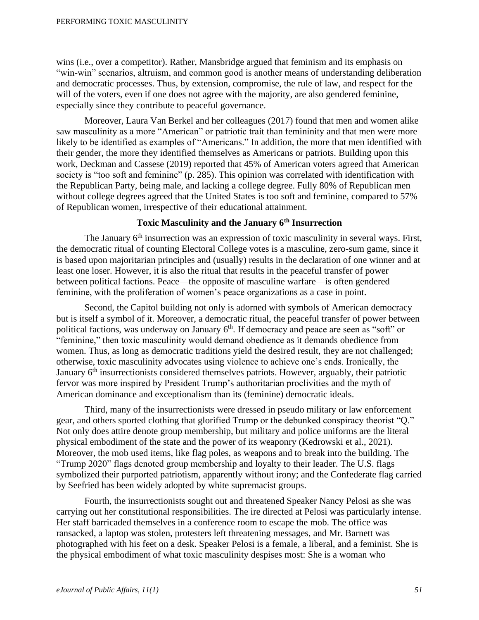#### PERFORMING TOXIC MASCULINITY

wins (i.e., over a competitor). Rather, Mansbridge argued that feminism and its emphasis on "win-win" scenarios, altruism, and common good is another means of understanding deliberation and democratic processes. Thus, by extension, compromise, the rule of law, and respect for the will of the voters, even if one does not agree with the majority, are also gendered feminine, especially since they contribute to peaceful governance.

Moreover, Laura Van Berkel and her colleagues (2017) found that men and women alike saw masculinity as a more "American" or patriotic trait than femininity and that men were more likely to be identified as examples of "Americans." In addition, the more that men identified with their gender, the more they identified themselves as Americans or patriots. Building upon this work, Deckman and Cassese (2019) reported that 45% of American voters agreed that American society is "too soft and feminine" (p. 285). This opinion was correlated with identification with the Republican Party, being male, and lacking a college degree. Fully 80% of Republican men without college degrees agreed that the United States is too soft and feminine, compared to 57% of Republican women, irrespective of their educational attainment.

# **Toxic Masculinity and the January 6th Insurrection**

The January  $6<sup>th</sup>$  insurrection was an expression of toxic masculinity in several ways. First, the democratic ritual of counting Electoral College votes is a masculine, zero-sum game, since it is based upon majoritarian principles and (usually) results in the declaration of one winner and at least one loser. However, it is also the ritual that results in the peaceful transfer of power between political factions. Peace—the opposite of masculine warfare—is often gendered feminine, with the proliferation of women's peace organizations as a case in point.

Second, the Capitol building not only is adorned with symbols of American democracy but is itself a symbol of it. Moreover, a democratic ritual, the peaceful transfer of power between political factions, was underway on January 6<sup>th</sup>. If democracy and peace are seen as "soft" or "feminine," then toxic masculinity would demand obedience as it demands obedience from women. Thus, as long as democratic traditions yield the desired result, they are not challenged; otherwise, toxic masculinity advocates using violence to achieve one's ends. Ironically, the January  $6<sup>th</sup>$  insurrectionists considered themselves patriots. However, arguably, their patriotic fervor was more inspired by President Trump's authoritarian proclivities and the myth of American dominance and exceptionalism than its (feminine) democratic ideals.

Third, many of the insurrectionists were dressed in pseudo military or law enforcement gear, and others sported clothing that glorified Trump or the debunked conspiracy theorist "Q." Not only does attire denote group membership, but military and police uniforms are the literal physical embodiment of the state and the power of its weaponry (Kedrowski et al., 2021). Moreover, the mob used items, like flag poles, as weapons and to break into the building. The "Trump 2020" flags denoted group membership and loyalty to their leader. The U.S. flags symbolized their purported patriotism, apparently without irony; and the Confederate flag carried by Seefried has been widely adopted by white supremacist groups.

Fourth, the insurrectionists sought out and threatened Speaker Nancy Pelosi as she was carrying out her constitutional responsibilities. The ire directed at Pelosi was particularly intense. Her staff barricaded themselves in a conference room to escape the mob. The office was ransacked, a laptop was stolen, protesters left threatening messages, and Mr. Barnett was photographed with his feet on a desk. Speaker Pelosi is a female, a liberal, and a feminist. She is the physical embodiment of what toxic masculinity despises most: She is a woman who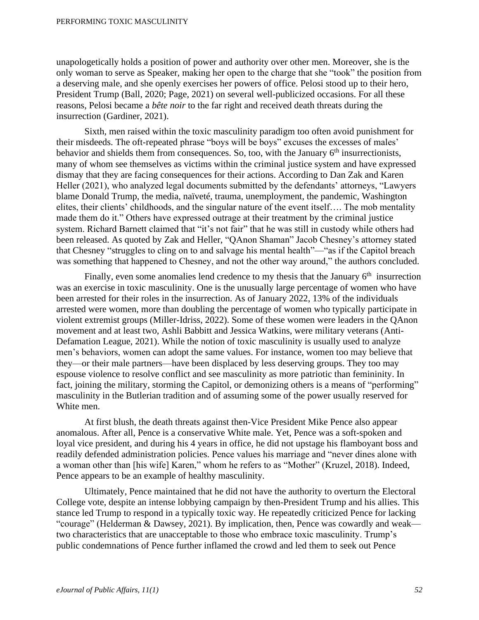unapologetically holds a position of power and authority over other men. Moreover, she is the only woman to serve as Speaker, making her open to the charge that she "took" the position from a deserving male, and she openly exercises her powers of office. Pelosi stood up to their hero, President Trump (Ball, 2020; Page, 2021) on several well-publicized occasions. For all these reasons, Pelosi became a *bête noir* to the far right and received death threats during the insurrection (Gardiner, 2021).

Sixth, men raised within the toxic masculinity paradigm too often avoid punishment for their misdeeds. The oft-repeated phrase "boys will be boys" excuses the excesses of males' behavior and shields them from consequences. So, too, with the January 6<sup>th</sup> insurrectionists, many of whom see themselves as victims within the criminal justice system and have expressed dismay that they are facing consequences for their actions. According to Dan Zak and Karen Heller (2021), who analyzed legal documents submitted by the defendants' attorneys, "Lawyers blame Donald Trump, the media, naïveté, trauma, unemployment, the pandemic, Washington elites, their clients' childhoods, and the singular nature of the event itself…. The mob mentality made them do it." Others have expressed outrage at their treatment by the criminal justice system. Richard Barnett claimed that "it's not fair" that he was still in custody while others had been released. As quoted by Zak and Heller, "QAnon Shaman" Jacob Chesney's attorney stated that Chesney "struggles to cling on to and salvage his mental health"—"as if the Capitol breach was something that happened to Chesney, and not the other way around," the authors concluded.

Finally, even some anomalies lend credence to my thesis that the January  $6<sup>th</sup>$  insurrection was an exercise in toxic masculinity. One is the unusually large percentage of women who have been arrested for their roles in the insurrection. As of January 2022, 13% of the individuals arrested were women, more than doubling the percentage of women who typically participate in violent extremist groups (Miller-Idriss, 2022). Some of these women were leaders in the QAnon movement and at least two, Ashli Babbitt and Jessica Watkins, were military veterans (Anti-Defamation League, 2021). While the notion of toxic masculinity is usually used to analyze men's behaviors, women can adopt the same values. For instance, women too may believe that they—or their male partners—have been displaced by less deserving groups. They too may espouse violence to resolve conflict and see masculinity as more patriotic than femininity. In fact, joining the military, storming the Capitol, or demonizing others is a means of "performing" masculinity in the Butlerian tradition and of assuming some of the power usually reserved for White men.

At first blush, the death threats against then-Vice President Mike Pence also appear anomalous. After all, Pence is a conservative White male. Yet, Pence was a soft-spoken and loyal vice president, and during his 4 years in office, he did not upstage his flamboyant boss and readily defended administration policies. Pence values his marriage and "never dines alone with a woman other than [his wife] Karen," whom he refers to as "Mother" (Kruzel, 2018). Indeed, Pence appears to be an example of healthy masculinity.

Ultimately, Pence maintained that he did not have the authority to overturn the Electoral College vote, despite an intense lobbying campaign by then-President Trump and his allies. This stance led Trump to respond in a typically toxic way. He repeatedly criticized Pence for lacking "courage" (Helderman & Dawsey, 2021). By implication, then, Pence was cowardly and weak two characteristics that are unacceptable to those who embrace toxic masculinity. Trump's public condemnations of Pence further inflamed the crowd and led them to seek out Pence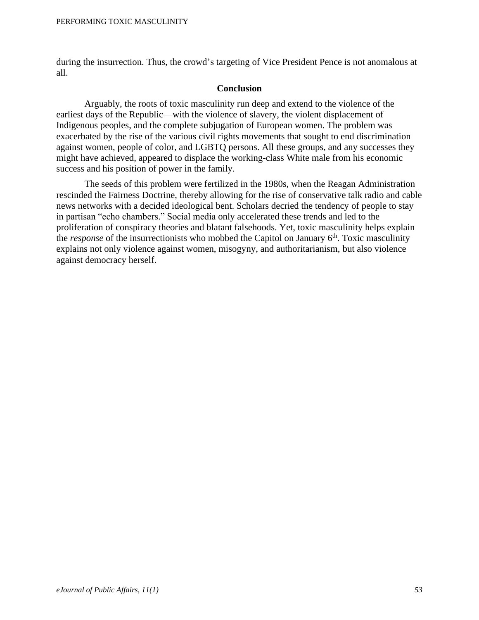during the insurrection. Thus, the crowd's targeting of Vice President Pence is not anomalous at all.

# **Conclusion**

Arguably, the roots of toxic masculinity run deep and extend to the violence of the earliest days of the Republic—with the violence of slavery, the violent displacement of Indigenous peoples, and the complete subjugation of European women. The problem was exacerbated by the rise of the various civil rights movements that sought to end discrimination against women, people of color, and LGBTQ persons. All these groups, and any successes they might have achieved, appeared to displace the working-class White male from his economic success and his position of power in the family.

The seeds of this problem were fertilized in the 1980s, when the Reagan Administration rescinded the Fairness Doctrine, thereby allowing for the rise of conservative talk radio and cable news networks with a decided ideological bent. Scholars decried the tendency of people to stay in partisan "echo chambers." Social media only accelerated these trends and led to the proliferation of conspiracy theories and blatant falsehoods. Yet, toxic masculinity helps explain the *response* of the insurrectionists who mobbed the Capitol on January 6<sup>th</sup>. Toxic masculinity explains not only violence against women, misogyny, and authoritarianism, but also violence against democracy herself.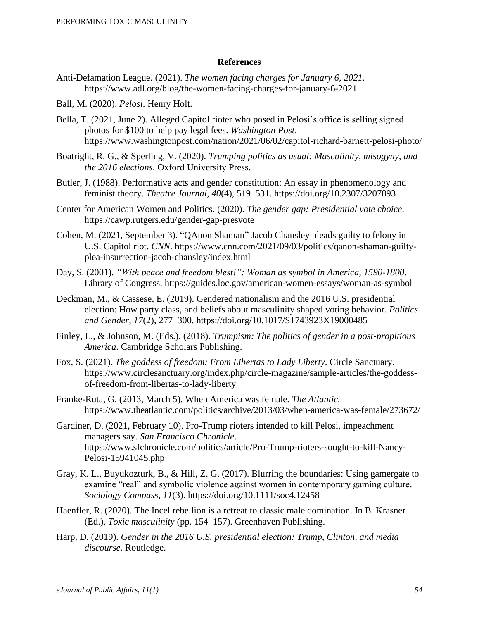### **References**

- Anti-Defamation League. (2021). *The women facing charges for January 6, 2021*. https://www.adl.org/blog/the-women-facing-charges-for-january-6-2021
- Ball, M. (2020). *Pelosi*. Henry Holt.
- Bella, T. (2021, June 2). Alleged Capitol rioter who posed in Pelosi's office is selling signed photos for \$100 to help pay legal fees. *Washington Post*. https://www.washingtonpost.com/nation/2021/06/02/capitol-richard-barnett-pelosi-photo/
- Boatright, R. G., & Sperling, V. (2020). *Trumping politics as usual: Masculinity, misogyny, and the 2016 elections*. Oxford University Press.
- Butler, J. (1988). Performative acts and gender constitution: An essay in phenomenology and feminist theory. *Theatre Journal*, *40*(4), 519–531. https://doi.org/10.2307/3207893
- Center for American Women and Politics. (2020). *The gender gap: Presidential vote choice*. https://cawp.rutgers.edu/gender-gap-presvote
- Cohen, M. (2021, September 3). "QAnon Shaman" Jacob Chansley pleads guilty to felony in U.S. Capitol riot. *CNN*. https://www.cnn.com/2021/09/03/politics/qanon-shaman-guiltyplea-insurrection-jacob-chansley/index.html
- Day, S. (2001). *"With peace and freedom blest!": Woman as symbol in America, 1590-1800*. Library of Congress. https://guides.loc.gov/american-women-essays/woman-as-symbol
- Deckman, M., & Cassese, E. (2019). Gendered nationalism and the 2016 U.S. presidential election: How party class, and beliefs about masculinity shaped voting behavior. *Politics and Gender*, *17*(2), 277–300. https://doi.org/10.1017/S1743923X19000485
- Finley, L., & Johnson, M. (Eds.). (2018). *Trumpism: The politics of gender in a post-propitious America*. Cambridge Scholars Publishing.
- Fox, S. (2021). *The goddess of freedom: From Libertas to Lady Liberty*. Circle Sanctuary. https://www.circlesanctuary.org/index.php/circle-magazine/sample-articles/the-goddessof-freedom-from-libertas-to-lady-liberty
- Franke-Ruta, G. (2013, March 5). When America was female. *The Atlantic.* https://www.theatlantic.com/politics/archive/2013/03/when-america-was-female/273672/
- Gardiner, D. (2021, February 10). Pro-Trump rioters intended to kill Pelosi, impeachment managers say. *San Francisco Chronicle*. https://www.sfchronicle.com/politics/article/Pro-Trump-rioters-sought-to-kill-Nancy-Pelosi-15941045.php
- Gray, K. L., Buyukozturk, B., & Hill, Z. G. (2017). Blurring the boundaries: Using gamergate to examine "real" and symbolic violence against women in contemporary gaming culture. *Sociology Compass*, *11*(3). https://doi.org/10.1111/soc4.12458
- Haenfler, R. (2020). The Incel rebellion is a retreat to classic male domination. In B. Krasner (Ed.), *Toxic masculinity* (pp. 154–157). Greenhaven Publishing.
- Harp, D. (2019). *Gender in the 2016 U.S. presidential election: Trump, Clinton, and media discourse*. Routledge.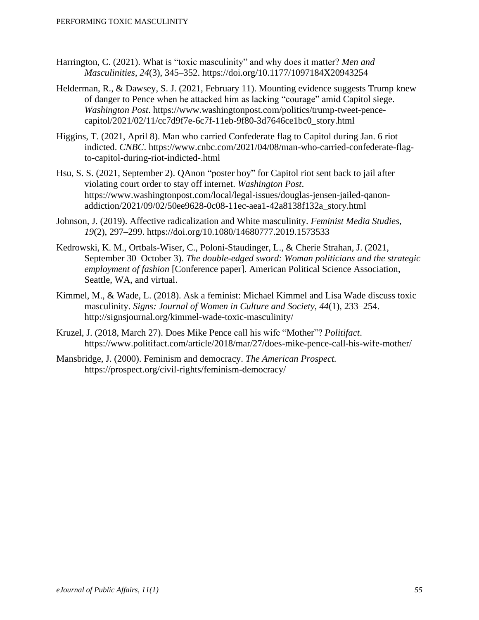- Harrington, C. (2021). What is "toxic masculinity" and why does it matter? *Men and Masculinities*, *24*(3), 345–352. https://doi.org/10.1177/1097184X20943254
- Helderman, R., & Dawsey, S. J. (2021, February 11). Mounting evidence suggests Trump knew of danger to Pence when he attacked him as lacking "courage" amid Capitol siege. *Washington Post*. https://www.washingtonpost.com/politics/trump-tweet-pencecapitol/2021/02/11/cc7d9f7e-6c7f-11eb-9f80-3d7646ce1bc0\_story.html
- Higgins, T. (2021, April 8). Man who carried Confederate flag to Capitol during Jan. 6 riot indicted. *CNBC*. https://www.cnbc.com/2021/04/08/man-who-carried-confederate-flagto-capitol-during-riot-indicted-.html
- Hsu, S. S. (2021, September 2). QAnon "poster boy" for Capitol riot sent back to jail after violating court order to stay off internet. *Washington Post*. https://www.washingtonpost.com/local/legal-issues/douglas-jensen-jailed-qanonaddiction/2021/09/02/50ee9628-0c08-11ec-aea1-42a8138f132a\_story.html
- Johnson, J. (2019). Affective radicalization and White masculinity. *Feminist Media Studies*, *19*(2), 297–299. https://doi.org/10.1080/14680777.2019.1573533
- Kedrowski, K. M., Ortbals-Wiser, C., Poloni-Staudinger, L., & Cherie Strahan, J. (2021, September 30–October 3). *The double-edged sword: Woman politicians and the strategic employment of fashion* [Conference paper]. American Political Science Association, Seattle, WA, and virtual.
- Kimmel, M., & Wade, L. (2018). Ask a feminist: Michael Kimmel and Lisa Wade discuss toxic masculinity. *Signs: Journal of Women in Culture and Society*, *44*(1), 233–254. http://signsjournal.org/kimmel-wade-toxic-masculinity/
- Kruzel, J. (2018, March 27). Does Mike Pence call his wife "Mother"? *Politifact*. https://www.politifact.com/article/2018/mar/27/does-mike-pence-call-his-wife-mother/
- Mansbridge, J. (2000). Feminism and democracy. *The American Prospect.* https://prospect.org/civil-rights/feminism-democracy/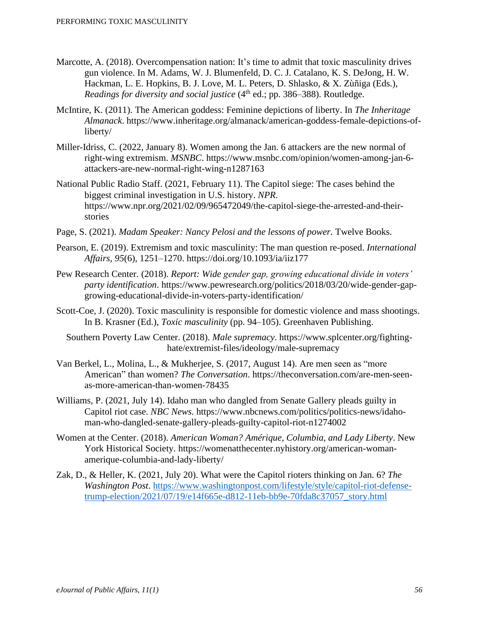- Marcotte, A. (2018). Overcompensation nation: It's time to admit that toxic masculinity drives gun violence. In M. Adams, W. J. Blumenfeld, D. C. J. Catalano, K. S. DeJong, H. W. Hackman, L. E. Hopkins, B. J. Love, M. L. Peters, D. Shlasko, & X. Zùñiga (Eds.), *Readings for diversity and social justice* (4<sup>th</sup> ed.; pp. 386–388). Routledge.
- McIntire, K. (2011). The American goddess: Feminine depictions of liberty. In *The Inheritage Almanack*. https://www.inheritage.org/almanack/american-goddess-female-depictions-ofliberty/
- Miller-Idriss, C. (2022, January 8). Women among the Jan. 6 attackers are the new normal of right-wing extremism. *MSNBC*. [https://www.msnbc.com/opinion/women-among-jan-6](https://www.msnbc.com/opinion/women-among-jan-6-attackers-are-new-normal-right-wing-n1287163) [attackers-are-new-normal-right-wing-n1287163](https://www.msnbc.com/opinion/women-among-jan-6-attackers-are-new-normal-right-wing-n1287163)
- National Public Radio Staff. (2021, February 11). The Capitol siege: The cases behind the biggest criminal investigation in U.S. history. *NPR*. https://www.npr.org/2021/02/09/965472049/the-capitol-siege-the-arrested-and-theirstories
- Page, S. (2021). *Madam Speaker: Nancy Pelosi and the lessons of power*. Twelve Books.
- Pearson, E. (2019). Extremism and toxic masculinity: The man question re-posed. *International Affairs*, *95*(6), 1251–1270. https://doi.org/10.1093/ia/iiz177
- Pew Research Center. (2018). *Report: Wide gender gap, growing educational divide in voters' party identification*. https://www.pewresearch.org/politics/2018/03/20/wide-gender-gapgrowing-educational-divide-in-voters-party-identification/
- Scott-Coe, J. (2020). Toxic masculinity is responsible for domestic violence and mass shootings. In B. Krasner (Ed.), *Toxic masculinity* (pp. 94–105). Greenhaven Publishing.
	- Southern Poverty Law Center. (2018). *Male supremacy*. https://www.splcenter.org/fightinghate/extremist-files/ideology/male-supremacy
- Van Berkel, L., Molina, L., & Mukherjee, S. (2017, August 14). Are men seen as "more American" than women? *The Conversation*. https://theconversation.com/are-men-seenas-more-american-than-women-78435
- Williams, P. (2021, July 14). Idaho man who dangled from Senate Gallery pleads guilty in Capitol riot case. *NBC News.* https://www.nbcnews.com/politics/politics-news/idahoman-who-dangled-senate-gallery-pleads-guilty-capitol-riot-n1274002
- Women at the Center. (2018). *American Woman? Amérique, Columbia, and Lady Liberty*. New York Historical Society. https://womenatthecenter.nyhistory.org/american-womanamerique-columbia-and-lady-liberty/
- Zak, D., & Heller, K. (2021, July 20). What were the Capitol rioters thinking on Jan. 6? *The Washington Post*. [https://www.washingtonpost.com/lifestyle/style/capitol-riot-defense](https://www.washingtonpost.com/lifestyle/style/capitol-riot-defense-trump-election/2021/07/19/e14f665e-d812-11eb-bb9e-70fda8c37057_story.html)[trump-election/2021/07/19/e14f665e-d812-11eb-bb9e-70fda8c37057\\_story.html](https://www.washingtonpost.com/lifestyle/style/capitol-riot-defense-trump-election/2021/07/19/e14f665e-d812-11eb-bb9e-70fda8c37057_story.html)